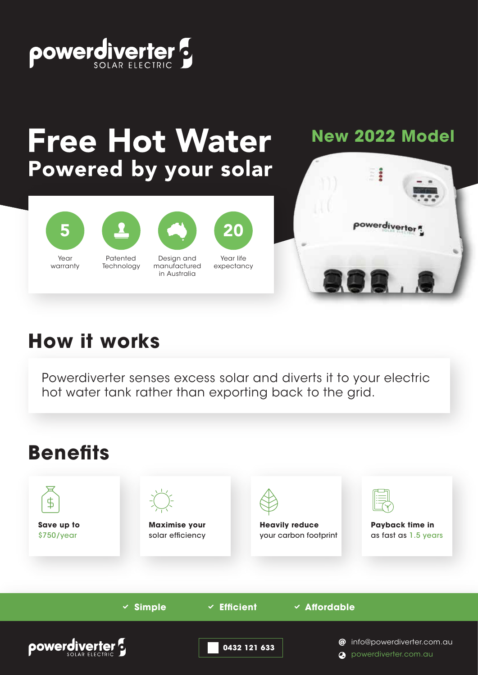

# **Free Hot Water** Powered by your solar

#### **New 2022 Model**





Patented **Technology** Design and manufactured in Australia



Year life expectancy



## **How it works**

Powerdiverter senses excess solar and diverts it to your electric hot water tank rather than exporting back to the grid.